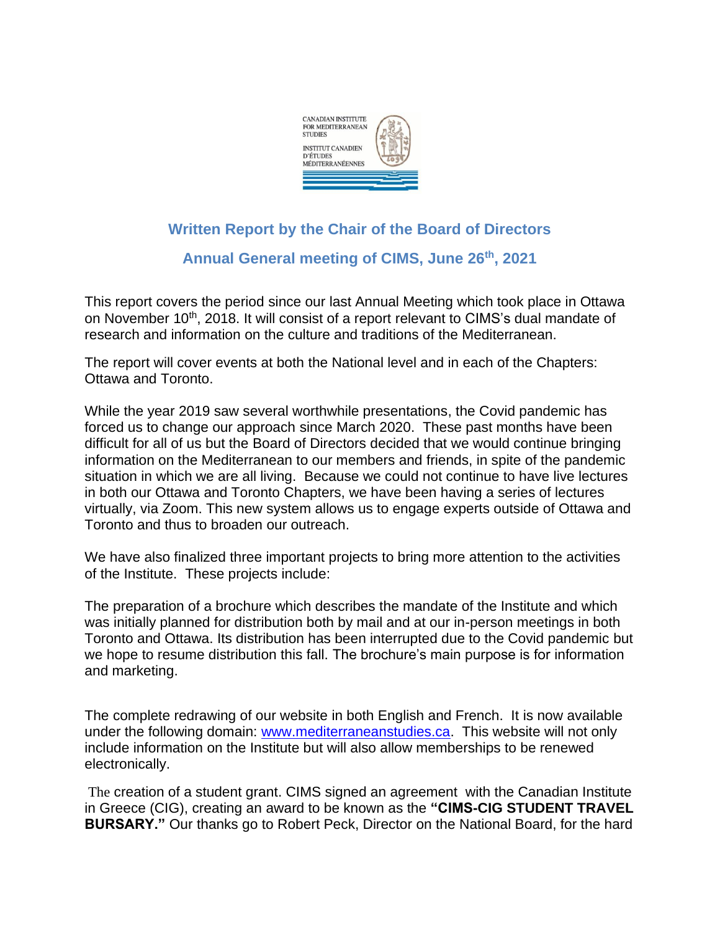

## **Written Report by the Chair of the Board of Directors**

**Annual General meeting of CIMS, June 26th, 2021**

This report covers the period since our last Annual Meeting which took place in Ottawa on November 10<sup>th</sup>, 2018. It will consist of a report relevant to CIMS's dual mandate of research and information on the culture and traditions of the Mediterranean.

The report will cover events at both the National level and in each of the Chapters: Ottawa and Toronto.

While the year 2019 saw several worthwhile presentations, the Covid pandemic has forced us to change our approach since March 2020. These past months have been difficult for all of us but the Board of Directors decided that we would continue bringing information on the Mediterranean to our members and friends, in spite of the pandemic situation in which we are all living. Because we could not continue to have live lectures in both our Ottawa and Toronto Chapters, we have been having a series of lectures virtually, via Zoom. This new system allows us to engage experts outside of Ottawa and Toronto and thus to broaden our outreach.

We have also finalized three important projects to bring more attention to the activities of the Institute. These projects include:

The preparation of a brochure which describes the mandate of the Institute and which was initially planned for distribution both by mail and at our in-person meetings in both Toronto and Ottawa. Its distribution has been interrupted due to the Covid pandemic but we hope to resume distribution this fall. The brochure's main purpose is for information and marketing.

The complete redrawing of our website in both English and French. It is now available under the following domain: [www.mediterraneanstudies.ca.](http://www.mediterraneanstudies.ca/) This website will not only include information on the Institute but will also allow memberships to be renewed electronically.

The creation of a student grant. CIMS signed an agreement with the Canadian Institute in Greece (CIG), creating an award to be known as the **"CIMS-CIG STUDENT TRAVEL BURSARY."** Our thanks go to Robert Peck, Director on the National Board, for the hard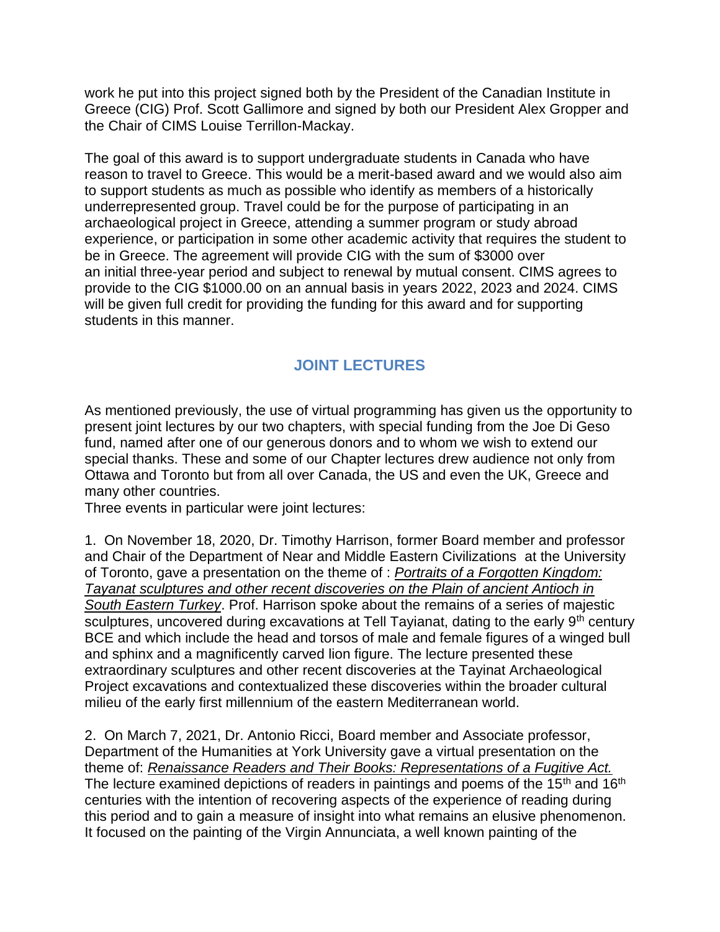work he put into this project signed both by the President of the Canadian Institute in Greece (CIG) Prof. Scott Gallimore and signed by both our President Alex Gropper and the Chair of CIMS Louise Terrillon-Mackay.

The goal of this award is to support undergraduate students in Canada who have reason to travel to Greece. This would be a merit-based award and we would also aim to support students as much as possible who identify as members of a historically underrepresented group. Travel could be for the purpose of participating in an archaeological project in Greece, attending a summer program or study abroad experience, or participation in some other academic activity that requires the student to be in Greece. The agreement will provide CIG with the sum of \$3000 over an initial three-year period and subject to renewal by mutual consent. CIMS agrees to provide to the CIG \$1000.00 on an annual basis in years 2022, 2023 and 2024. CIMS will be given full credit for providing the funding for this award and for supporting students in this manner.

## **JOINT LECTURES**

As mentioned previously, the use of virtual programming has given us the opportunity to present joint lectures by our two chapters, with special funding from the Joe Di Geso fund, named after one of our generous donors and to whom we wish to extend our special thanks. These and some of our Chapter lectures drew audience not only from Ottawa and Toronto but from all over Canada, the US and even the UK, Greece and many other countries.

Three events in particular were joint lectures:

1. On November 18, 2020, Dr. Timothy Harrison, former Board member and professor and Chair of the Department of Near and Middle Eastern Civilizations at the University of Toronto, gave a presentation on the theme of : *Portraits of a Forgotten Kingdom: Tayanat sculptures and other recent discoveries on the Plain of ancient Antioch in South Eastern Turkey*. Prof. Harrison spoke about the remains of a series of majestic sculptures, uncovered during excavations at Tell Tayianat, dating to the early 9<sup>th</sup> century BCE and which include the head and torsos of male and female figures of a winged bull and sphinx and a magnificently carved lion figure. The lecture presented these extraordinary sculptures and other recent discoveries at the Tayinat Archaeological Project excavations and contextualized these discoveries within the broader cultural milieu of the early first millennium of the eastern Mediterranean world.

2. On March 7, 2021, Dr. Antonio Ricci, Board member and Associate professor, Department of the Humanities at York University gave a virtual presentation on the theme of: *Renaissance Readers and Their Books: Representations of a Fugitive Act.*  The lecture examined depictions of readers in paintings and poems of the  $15<sup>th</sup>$  and  $16<sup>th</sup>$ centuries with the intention of recovering aspects of the experience of reading during this period and to gain a measure of insight into what remains an elusive phenomenon. It focused on the painting of the Virgin Annunciata, a well known painting of the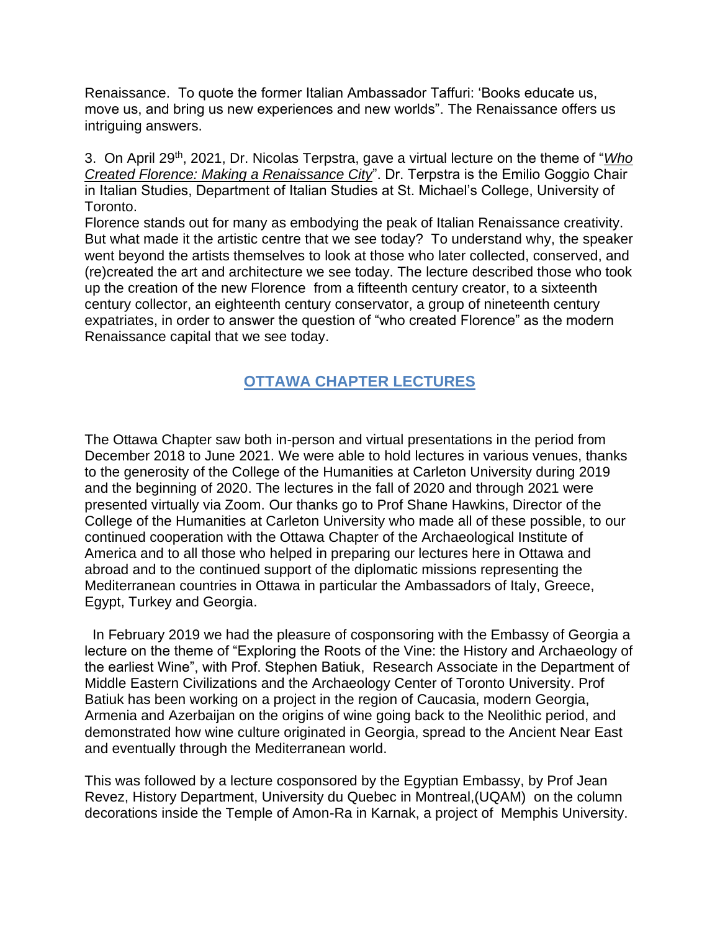Renaissance. To quote the former Italian Ambassador Taffuri: 'Books educate us, move us, and bring us new experiences and new worlds". The Renaissance offers us intriguing answers.

3. On April 29th, 2021, Dr. Nicolas Terpstra, gave a virtual lecture on the theme of "*Who Created Florence: Making a Renaissance City*". Dr. Terpstra is the Emilio Goggio Chair in Italian Studies, Department of Italian Studies at St. Michael's College, University of Toronto.

Florence stands out for many as embodying the peak of Italian Renaissance creativity. But what made it the artistic centre that we see today? To understand why, the speaker went beyond the artists themselves to look at those who later collected, conserved, and (re)created the art and architecture we see today. The lecture described those who took up the creation of the new Florence from a fifteenth century creator, to a sixteenth century collector, an eighteenth century conservator, a group of nineteenth century expatriates, in order to answer the question of "who created Florence" as the modern Renaissance capital that we see today.

## **OTTAWA CHAPTER LECTURES**

The Ottawa Chapter saw both in-person and virtual presentations in the period from December 2018 to June 2021. We were able to hold lectures in various venues, thanks to the generosity of the College of the Humanities at Carleton University during 2019 and the beginning of 2020. The lectures in the fall of 2020 and through 2021 were presented virtually via Zoom. Our thanks go to Prof Shane Hawkins, Director of the College of the Humanities at Carleton University who made all of these possible, to our continued cooperation with the Ottawa Chapter of the Archaeological Institute of America and to all those who helped in preparing our lectures here in Ottawa and abroad and to the continued support of the diplomatic missions representing the Mediterranean countries in Ottawa in particular the Ambassadors of Italy, Greece, Egypt, Turkey and Georgia.

 In February 2019 we had the pleasure of cosponsoring with the Embassy of Georgia a lecture on the theme of "Exploring the Roots of the Vine: the History and Archaeology of the earliest Wine", with Prof. Stephen Batiuk, Research Associate in the Department of Middle Eastern Civilizations and the Archaeology Center of Toronto University. Prof Batiuk has been working on a project in the region of Caucasia, modern Georgia, Armenia and Azerbaijan on the origins of wine going back to the Neolithic period, and demonstrated how wine culture originated in Georgia, spread to the Ancient Near East and eventually through the Mediterranean world.

This was followed by a lecture cosponsored by the Egyptian Embassy, by Prof Jean Revez, History Department, University du Quebec in Montreal,(UQAM) on the column decorations inside the Temple of Amon-Ra in Karnak, a project of Memphis University.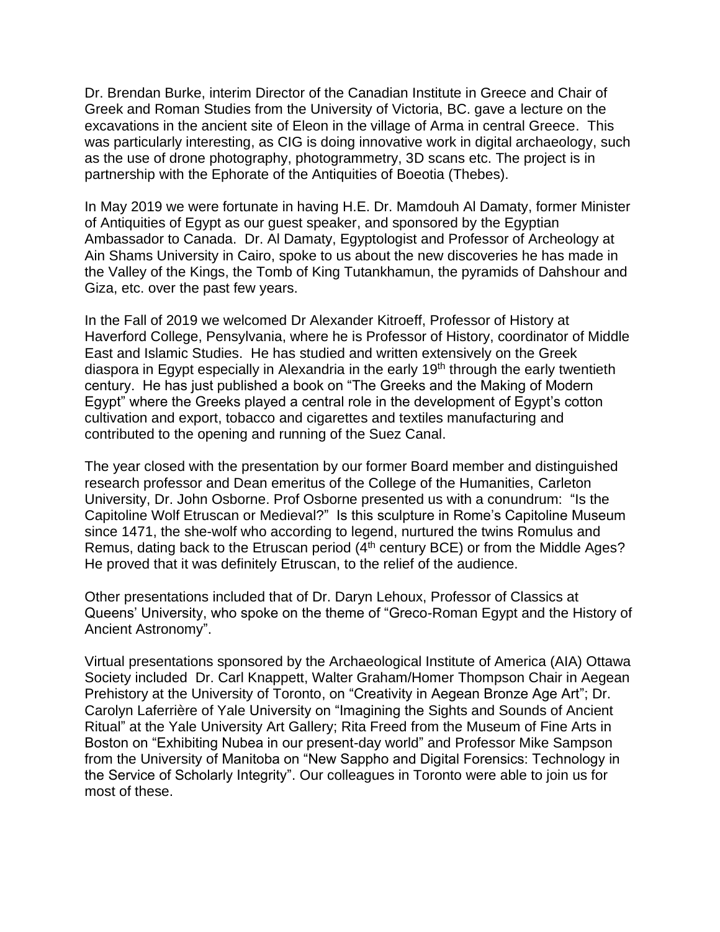Dr. Brendan Burke, interim Director of the Canadian Institute in Greece and Chair of Greek and Roman Studies from the University of Victoria, BC. gave a lecture on the excavations in the ancient site of Eleon in the village of Arma in central Greece. This was particularly interesting, as CIG is doing innovative work in digital archaeology, such as the use of drone photography, photogrammetry, 3D scans etc. The project is in partnership with the Ephorate of the Antiquities of Boeotia (Thebes).

In May 2019 we were fortunate in having H.E. Dr. Mamdouh Al Damaty, former Minister of Antiquities of Egypt as our guest speaker, and sponsored by the Egyptian Ambassador to Canada. Dr. Al Damaty, Egyptologist and Professor of Archeology at Ain Shams University in Cairo, spoke to us about the new discoveries he has made in the Valley of the Kings, the Tomb of King Tutankhamun, the pyramids of Dahshour and Giza, etc. over the past few years.

In the Fall of 2019 we welcomed Dr Alexander Kitroeff, Professor of History at Haverford College, Pensylvania, where he is Professor of History, coordinator of Middle East and Islamic Studies. He has studied and written extensively on the Greek diaspora in Egypt especially in Alexandria in the early 19<sup>th</sup> through the early twentieth century. He has just published a book on "The Greeks and the Making of Modern Egypt" where the Greeks played a central role in the development of Egypt's cotton cultivation and export, tobacco and cigarettes and textiles manufacturing and contributed to the opening and running of the Suez Canal.

The year closed with the presentation by our former Board member and distinguished research professor and Dean emeritus of the College of the Humanities, Carleton University, Dr. John Osborne. Prof Osborne presented us with a conundrum: "Is the Capitoline Wolf Etruscan or Medieval?" Is this sculpture in Rome's Capitoline Museum since 1471, the she-wolf who according to legend, nurtured the twins Romulus and Remus, dating back to the Etruscan period  $(4<sup>th</sup>$  century BCE) or from the Middle Ages? He proved that it was definitely Etruscan, to the relief of the audience.

Other presentations included that of Dr. Daryn Lehoux, Professor of Classics at Queens' University, who spoke on the theme of "Greco-Roman Egypt and the History of Ancient Astronomy".

Virtual presentations sponsored by the Archaeological Institute of America (AIA) Ottawa Society included Dr. Carl Knappett, Walter Graham/Homer Thompson Chair in Aegean Prehistory at the University of Toronto, on "Creativity in Aegean Bronze Age Art"; Dr. Carolyn Laferrière of Yale University on "Imagining the Sights and Sounds of Ancient Ritual" at the Yale University Art Gallery; Rita Freed from the Museum of Fine Arts in Boston on "Exhibiting Nubea in our present-day world" and Professor Mike Sampson from the University of Manitoba on "New Sappho and Digital Forensics: Technology in the Service of Scholarly Integrity". Our colleagues in Toronto were able to join us for most of these.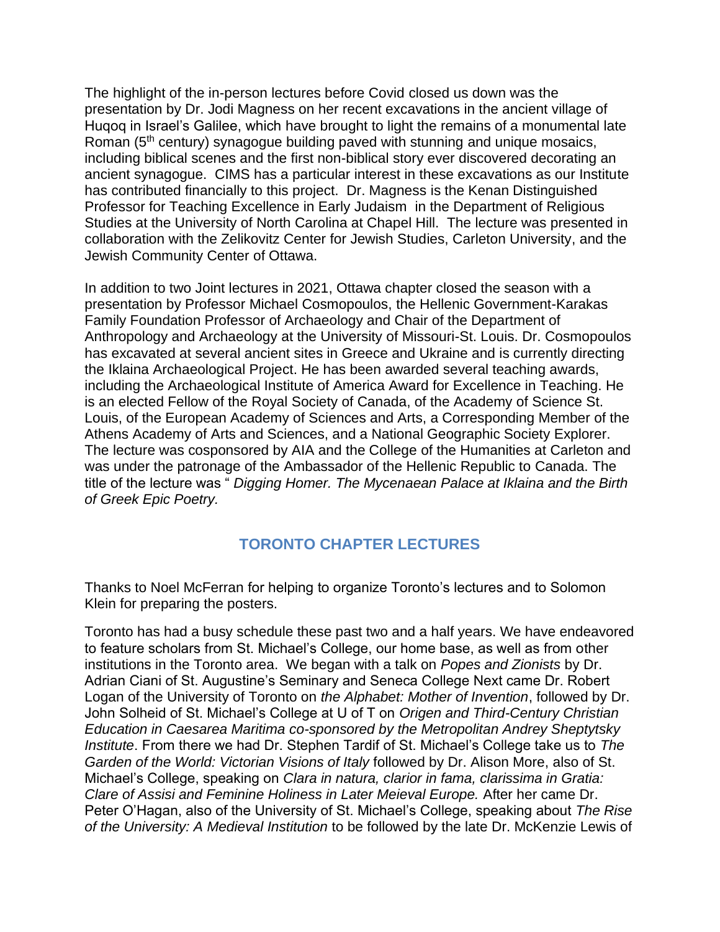The highlight of the in-person lectures before Covid closed us down was the presentation by Dr. Jodi Magness on her recent excavations in the ancient village of Huqoq in Israel's Galilee, which have brought to light the remains of a monumental late Roman (5<sup>th</sup> century) synagogue building paved with stunning and unique mosaics, including biblical scenes and the first non-biblical story ever discovered decorating an ancient synagogue. CIMS has a particular interest in these excavations as our Institute has contributed financially to this project. Dr. Magness is the Kenan Distinguished Professor for Teaching Excellence in Early Judaism in the Department of Religious Studies at the University of North Carolina at Chapel Hill. The lecture was presented in collaboration with the Zelikovitz Center for Jewish Studies, Carleton University, and the Jewish Community Center of Ottawa.

In addition to two Joint lectures in 2021, Ottawa chapter closed the season with a presentation by Professor Michael Cosmopoulos, the Hellenic Government-Karakas Family Foundation Professor of Archaeology and Chair of the Department of Anthropology and Archaeology at the University of Missouri-St. Louis. Dr. Cosmopoulos has excavated at several ancient sites in Greece and Ukraine and is currently directing the Iklaina Archaeological Project. He has been awarded several teaching awards, including the Archaeological Institute of America Award for Excellence in Teaching. He is an elected Fellow of the Royal Society of Canada, of the Academy of Science St. Louis, of the European Academy of Sciences and Arts, a Corresponding Member of the Athens Academy of Arts and Sciences, and a National Geographic Society Explorer. The lecture was cosponsored by AIA and the College of the Humanities at Carleton and was under the patronage of the Ambassador of the Hellenic Republic to Canada. The title of the lecture was " *Digging Homer. The Mycenaean Palace at Iklaina and the Birth of Greek Epic Poetry.* 

## **TORONTO CHAPTER LECTURES**

Thanks to Noel McFerran for helping to organize Toronto's lectures and to Solomon Klein for preparing the posters.

Toronto has had a busy schedule these past two and a half years. We have endeavored to feature scholars from St. Michael's College, our home base, as well as from other institutions in the Toronto area. We began with a talk on *Popes and Zionists* by Dr. Adrian Ciani of St. Augustine's Seminary and Seneca College Next came Dr. Robert Logan of the University of Toronto on *the Alphabet: Mother of Invention*, followed by Dr. John Solheid of St. Michael's College at U of T on *Origen and Third-Century Christian Education in Caesarea Maritima co-sponsored by the Metropolitan Andrey Sheptytsky Institute*. From there we had Dr. Stephen Tardif of St. Michael's College take us to *The Garden of the World: Victorian Visions of Italy* followed by Dr. Alison More, also of St. Michael's College, speaking on *Clara in natura, clarior in fama, clarissima in Gratia: Clare of Assisi and Feminine Holiness in Later Meieval Europe.* After her came Dr. Peter O'Hagan, also of the University of St. Michael's College, speaking about *The Rise of the University: A Medieval Institution* to be followed by the late Dr. McKenzie Lewis of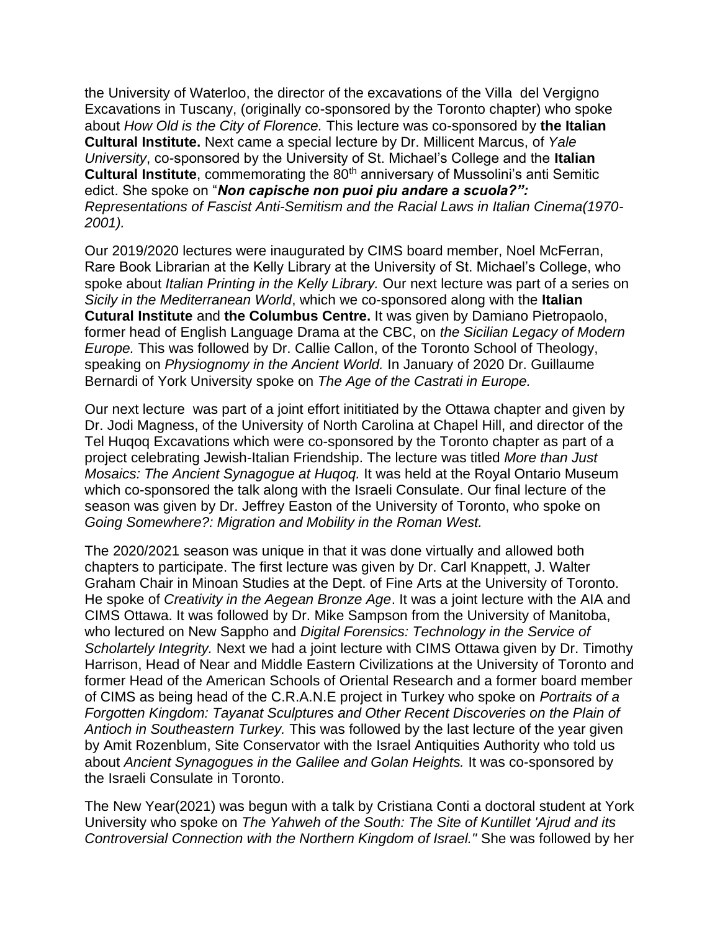the University of Waterloo, the director of the excavations of the Villa del Vergigno Excavations in Tuscany, (originally co-sponsored by the Toronto chapter) who spoke about *How Old is the City of Florence.* This lecture was co-sponsored by **the Italian Cultural Institute.** Next came a special lecture by Dr. Millicent Marcus, of *Yale University*, co-sponsored by the University of St. Michael's College and the **Italian Cultural Institute**, commemorating the 80<sup>th</sup> anniversary of Mussolini's anti Semitic edict. She spoke on "*Non capische non puoi piu andare a scuola?": Representations of Fascist Anti-Semitism and the Racial Laws in Italian Cinema(1970- 2001).*

Our 2019/2020 lectures were inaugurated by CIMS board member, Noel McFerran, Rare Book Librarian at the Kelly Library at the University of St. Michael's College, who spoke about *Italian Printing in the Kelly Library.* Our next lecture was part of a series on *Sicily in the Mediterranean World*, which we co-sponsored along with the **Italian Cutural Institute** and **the Columbus Centre.** It was given by Damiano Pietropaolo, former head of English Language Drama at the CBC, on *the Sicilian Legacy of Modern Europe.* This was followed by Dr. Callie Callon, of the Toronto School of Theology, speaking on *Physiognomy in the Ancient World.* In January of 2020 Dr. Guillaume Bernardi of York University spoke on *The Age of the Castrati in Europe.*

Our next lecture was part of a joint effort inititiated by the Ottawa chapter and given by Dr. Jodi Magness, of the University of North Carolina at Chapel Hill, and director of the Tel Huqoq Excavations which were co-sponsored by the Toronto chapter as part of a project celebrating Jewish-Italian Friendship. The lecture was titled *More than Just Mosaics: The Ancient Synagogue at Huqoq.* It was held at the Royal Ontario Museum which co-sponsored the talk along with the Israeli Consulate. Our final lecture of the season was given by Dr. Jeffrey Easton of the University of Toronto, who spoke on *Going Somewhere?: Migration and Mobility in the Roman West.*

The 2020/2021 season was unique in that it was done virtually and allowed both chapters to participate. The first lecture was given by Dr. Carl Knappett, J. Walter Graham Chair in Minoan Studies at the Dept. of Fine Arts at the University of Toronto. He spoke of *Creativity in the Aegean Bronze Age*. It was a joint lecture with the AIA and CIMS Ottawa. It was followed by Dr. Mike Sampson from the University of Manitoba, who lectured on New Sappho and *Digital Forensics: Technology in the Service of Scholartely Integrity.* Next we had a joint lecture with CIMS Ottawa given by Dr. Timothy Harrison, Head of Near and Middle Eastern Civilizations at the University of Toronto and former Head of the American Schools of Oriental Research and a former board member of CIMS as being head of the C.R.A.N.E project in Turkey who spoke on *Portraits of a Forgotten Kingdom: Tayanat Sculptures and Other Recent Discoveries on the Plain of Antioch in Southeastern Turkey.* This was followed by the last lecture of the year given by Amit Rozenblum, Site Conservator with the Israel Antiquities Authority who told us about *Ancient Synagogues in the Galilee and Golan Heights.* It was co-sponsored by the Israeli Consulate in Toronto.

The New Year(2021) was begun with a talk by Cristiana Conti a doctoral student at York University who spoke on *The Yahweh of the South: The Site of Kuntillet 'Ajrud and its Controversial Connection with the Northern Kingdom of Israel."* She was followed by her